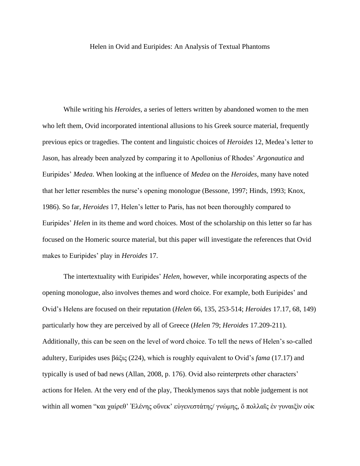## Helen in Ovid and Euripides: An Analysis of Textual Phantoms

While writing his *Heroides*, a series of letters written by abandoned women to the men who left them, Ovid incorporated intentional allusions to his Greek source material, frequently previous epics or tragedies. The content and linguistic choices of *Heroides* 12, Medea's letter to Jason, has already been analyzed by comparing it to Apollonius of Rhodes' *Argonautica* and Euripides' *Medea*. When looking at the influence of *Medea* on the *Heroides*, many have noted that her letter resembles the nurse's opening monologue (Bessone, 1997; Hinds, 1993; Knox, 1986). So far, *Heroides* 17, Helen's letter to Paris, has not been thoroughly compared to Euripides' *Helen* in its theme and word choices. Most of the scholarship on this letter so far has focused on the Homeric source material, but this paper will investigate the references that Ovid makes to Euripides' play in *Heroides* 17.

The intertextuality with Euripides' *Helen*, however, while incorporating aspects of the opening monologue, also involves themes and word choice. For example, both Euripides' and Ovid's Helens are focused on their reputation (*Helen* 66, 135, 253-514; *Heroides* 17.17, 68, 149) particularly how they are perceived by all of Greece (*Helen* 79; *Heroides* 17.209-211). Additionally, this can be seen on the level of word choice. To tell the news of Helen's so-called adultery, Euripides uses βάξις (224), which is roughly equivalent to Ovid's *fama* (17.17) and typically is used of bad news (Allan, 2008, p. 176). Ovid also reinterprets other characters' actions for Helen. At the very end of the play, Theoklymenos says that noble judgement is not within all women "και χαίρεθ' Έλένης οὕνεκ' εὐγενεστάτης/ γνώμης, ὅ πολλαῖς ἐν γυναιξὶν οὐκ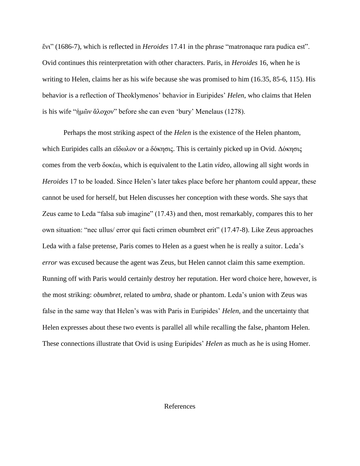ἔνι" (1686-7), which is reflected in *Heroides* 17.41 in the phrase "matronaque rara pudica est". Ovid continues this reinterpretation with other characters. Paris, in *Heroides* 16, when he is writing to Helen, claims her as his wife because she was promised to him (16.35, 85-6, 115). His behavior is a reflection of Theoklymenos' behavior in Euripides' *Helen*, who claims that Helen is his wife "ἡμῶν ἄλοχον" before she can even 'bury' Menelaus (1278).

Perhaps the most striking aspect of the *Helen* is the existence of the Helen phantom, which Euripides calls an εἴδωλον or a δόκησις. This is certainly picked up in Ovid. Δόκησις comes from the verb δοκέω, which is equivalent to the Latin *video*, allowing all sight words in *Heroides* 17 to be loaded. Since Helen's later takes place before her phantom could appear, these cannot be used for herself, but Helen discusses her conception with these words. She says that Zeus came to Leda "falsa sub imagine" (17.43) and then, most remarkably, compares this to her own situation: "nec ullus/ error qui facti crimen obumbret erit" (17.47-8). Like Zeus approaches Leda with a false pretense, Paris comes to Helen as a guest when he is really a suitor. Leda's *error* was excused because the agent was Zeus, but Helen cannot claim this same exemption. Running off with Paris would certainly destroy her reputation. Her word choice here, however, is the most striking: *obumbret*, related to *umbra*, shade or phantom. Leda's union with Zeus was false in the same way that Helen's was with Paris in Euripides' *Helen*, and the uncertainty that Helen expresses about these two events is parallel all while recalling the false, phantom Helen. These connections illustrate that Ovid is using Euripides' *Helen* as much as he is using Homer.

## References